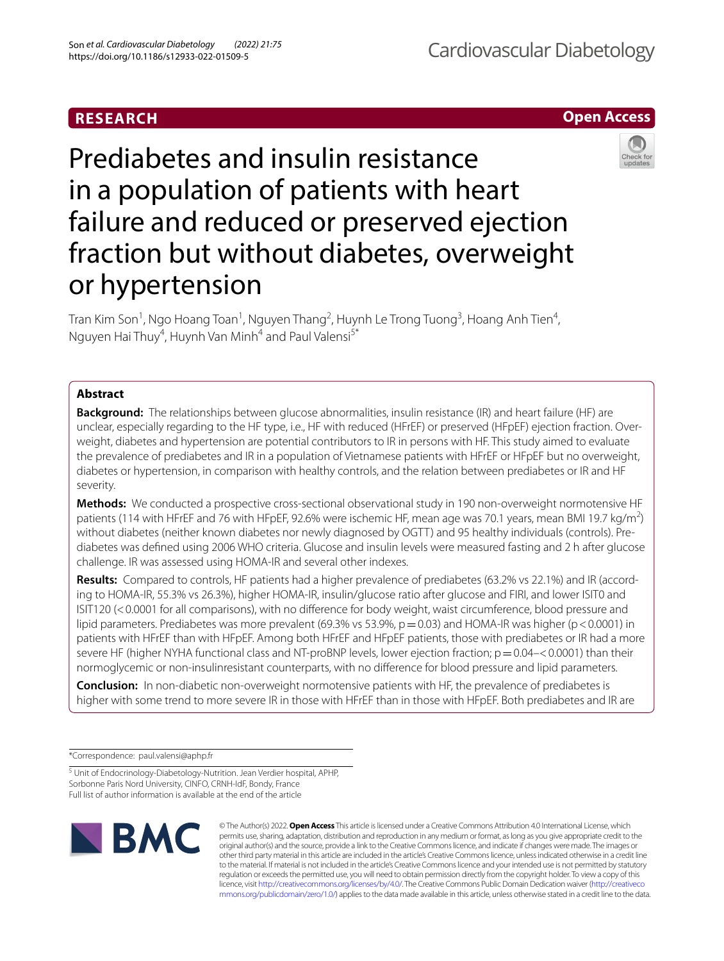## **RESEARCH**

**Open Access**

# Prediabetes and insulin resistance in a population of patients with heart failure and reduced or preserved ejection fraction but without diabetes, overweight or hypertension

Tran Kim Son<sup>1</sup>, Ngo Hoang Toan<sup>1</sup>, Nguyen Thang<sup>2</sup>, Huynh Le Trong Tuong<sup>3</sup>, Hoang Anh Tien<sup>4</sup>, Nguyen Hai Thuy<sup>4</sup>, Huynh Van Minh<sup>4</sup> and Paul Valensi<sup>5\*</sup>

## **Abstract**

**Background:** The relationships between glucose abnormalities, insulin resistance (IR) and heart failure (HF) are unclear, especially regarding to the HF type, i.e., HF with reduced (HFrEF) or preserved (HFpEF) ejection fraction. Overweight, diabetes and hypertension are potential contributors to IR in persons with HF. This study aimed to evaluate the prevalence of prediabetes and IR in a population of Vietnamese patients with HFrEF or HFpEF but no overweight, diabetes or hypertension, in comparison with healthy controls, and the relation between prediabetes or IR and HF severity.

**Methods:** We conducted a prospective cross-sectional observational study in 190 non-overweight normotensive HF patients (114 with HFrEF and 76 with HFpEF, 92.6% were ischemic HF, mean age was 70.1 years, mean BMI 19.7 kg/m<sup>2</sup>) without diabetes (neither known diabetes nor newly diagnosed by OGTT) and 95 healthy individuals (controls). Prediabetes was defned using 2006 WHO criteria. Glucose and insulin levels were measured fasting and 2 h after glucose challenge. IR was assessed using HOMA-IR and several other indexes.

**Results:** Compared to controls, HF patients had a higher prevalence of prediabetes (63.2% vs 22.1%) and IR (according to HOMA-IR, 55.3% vs 26.3%), higher HOMA-IR, insulin/glucose ratio after glucose and FIRI, and lower ISIT0 and ISIT120 (<0.0001 for all comparisons), with no diference for body weight, waist circumference, blood pressure and lipid parameters. Prediabetes was more prevalent (69.3% vs 53.9%,  $p = 0.03$ ) and HOMA-IR was higher (p < 0.0001) in patients with HFrEF than with HFpEF. Among both HFrEF and HFpEF patients, those with prediabetes or IR had a more severe HF (higher NYHA functional class and NT-proBNP levels, lower ejection fraction;  $p=0.04$ –<0.0001) than their normoglycemic or non-insulinresistant counterparts, with no diference for blood pressure and lipid parameters.

**Conclusion:** In non-diabetic non-overweight normotensive patients with HF, the prevalence of prediabetes is higher with some trend to more severe IR in those with HFrEF than in those with HFpEF. Both prediabetes and IR are

\*Correspondence: paul.valensi@aphp.fr

<sup>5</sup> Unit of Endocrinology-Diabetology-Nutrition. Jean Verdier hospital, APHP, Sorbonne Paris Nord University, CINFO, CRNH-IdF, Bondy, France Full list of author information is available at the end of the article



© The Author(s) 2022. **Open Access** This article is licensed under a Creative Commons Attribution 4.0 International License, which permits use, sharing, adaptation, distribution and reproduction in any medium or format, as long as you give appropriate credit to the original author(s) and the source, provide a link to the Creative Commons licence, and indicate if changes were made. The images or other third party material in this article are included in the article's Creative Commons licence, unless indicated otherwise in a credit line to the material. If material is not included in the article's Creative Commons licence and your intended use is not permitted by statutory regulation or exceeds the permitted use, you will need to obtain permission directly from the copyright holder. To view a copy of this licence, visit [http://creativecommons.org/licenses/by/4.0/.](http://creativecommons.org/licenses/by/4.0/) The Creative Commons Public Domain Dedication waiver ([http://creativeco](http://creativecommons.org/publicdomain/zero/1.0/) [mmons.org/publicdomain/zero/1.0/](http://creativecommons.org/publicdomain/zero/1.0/)) applies to the data made available in this article, unless otherwise stated in a credit line to the data.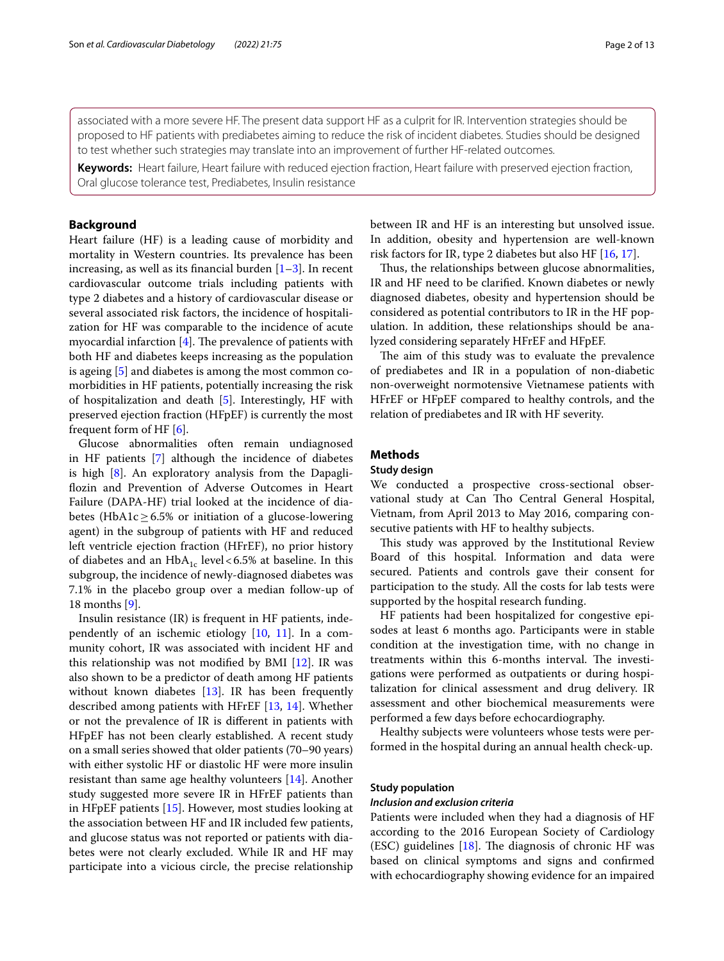associated with a more severe HF. The present data support HF as a culprit for IR. Intervention strategies should be proposed to HF patients with prediabetes aiming to reduce the risk of incident diabetes. Studies should be designed to test whether such strategies may translate into an improvement of further HF-related outcomes.

**Keywords:** Heart failure, Heart failure with reduced ejection fraction, Heart failure with preserved ejection fraction, Oral glucose tolerance test, Prediabetes, Insulin resistance

## **Background**

Heart failure (HF) is a leading cause of morbidity and mortality in Western countries. Its prevalence has been increasing, as well as its financial burden  $[1-3]$  $[1-3]$  $[1-3]$ . In recent cardiovascular outcome trials including patients with type 2 diabetes and a history of cardiovascular disease or several associated risk factors, the incidence of hospitalization for HF was comparable to the incidence of acute myocardial infarction  $[4]$  $[4]$ . The prevalence of patients with both HF and diabetes keeps increasing as the population is ageing [\[5](#page-11-2)] and diabetes is among the most common comorbidities in HF patients, potentially increasing the risk of hospitalization and death [\[5](#page-11-2)]. Interestingly, HF with preserved ejection fraction (HFpEF) is currently the most frequent form of HF [[6\]](#page-11-3).

Glucose abnormalities often remain undiagnosed in HF patients [[7\]](#page-11-4) although the incidence of diabetes is high [[8\]](#page-11-5). An exploratory analysis from the Dapaglifozin and Prevention of Adverse Outcomes in Heart Failure (DAPA-HF) trial looked at the incidence of diabetes (HbA1c  $\geq$  6.5% or initiation of a glucose-lowering agent) in the subgroup of patients with HF and reduced left ventricle ejection fraction (HFrEF), no prior history of diabetes and an  $HbA_{1c}$  level < 6.5% at baseline. In this subgroup, the incidence of newly-diagnosed diabetes was 7.1% in the placebo group over a median follow-up of 18 months [\[9](#page-11-6)].

Insulin resistance (IR) is frequent in HF patients, independently of an ischemic etiology [\[10](#page-11-7), [11\]](#page-11-8). In a community cohort, IR was associated with incident HF and this relationship was not modifed by BMI [\[12\]](#page-11-9). IR was also shown to be a predictor of death among HF patients without known diabetes [\[13](#page-11-10)]. IR has been frequently described among patients with HFrEF [[13](#page-11-10), [14](#page-11-11)]. Whether or not the prevalence of IR is diferent in patients with HFpEF has not been clearly established. A recent study on a small series showed that older patients (70–90 years) with either systolic HF or diastolic HF were more insulin resistant than same age healthy volunteers [\[14\]](#page-11-11). Another study suggested more severe IR in HFrEF patients than in HFpEF patients [[15\]](#page-11-12). However, most studies looking at the association between HF and IR included few patients, and glucose status was not reported or patients with diabetes were not clearly excluded. While IR and HF may participate into a vicious circle, the precise relationship between IR and HF is an interesting but unsolved issue. In addition, obesity and hypertension are well-known risk factors for IR, type 2 diabetes but also HF [[16,](#page-11-13) [17\]](#page-11-14).

Thus, the relationships between glucose abnormalities, IR and HF need to be clarifed. Known diabetes or newly diagnosed diabetes, obesity and hypertension should be considered as potential contributors to IR in the HF population. In addition, these relationships should be analyzed considering separately HFrEF and HFpEF.

The aim of this study was to evaluate the prevalence of prediabetes and IR in a population of non-diabetic non-overweight normotensive Vietnamese patients with HFrEF or HFpEF compared to healthy controls, and the relation of prediabetes and IR with HF severity.

## **Methods**

## **Study design**

We conducted a prospective cross-sectional observational study at Can Tho Central General Hospital, Vietnam, from April 2013 to May 2016, comparing consecutive patients with HF to healthy subjects.

This study was approved by the Institutional Review Board of this hospital. Information and data were secured. Patients and controls gave their consent for participation to the study. All the costs for lab tests were supported by the hospital research funding.

HF patients had been hospitalized for congestive episodes at least 6 months ago. Participants were in stable condition at the investigation time, with no change in treatments within this 6-months interval. The investigations were performed as outpatients or during hospitalization for clinical assessment and drug delivery. IR assessment and other biochemical measurements were performed a few days before echocardiography.

Healthy subjects were volunteers whose tests were performed in the hospital during an annual health check-up.

## **Study population**

#### *Inclusion and exclusion criteria*

Patients were included when they had a diagnosis of HF according to the 2016 European Society of Cardiology (ESC) guidelines  $[18]$  $[18]$  $[18]$ . The diagnosis of chronic HF was based on clinical symptoms and signs and confrmed with echocardiography showing evidence for an impaired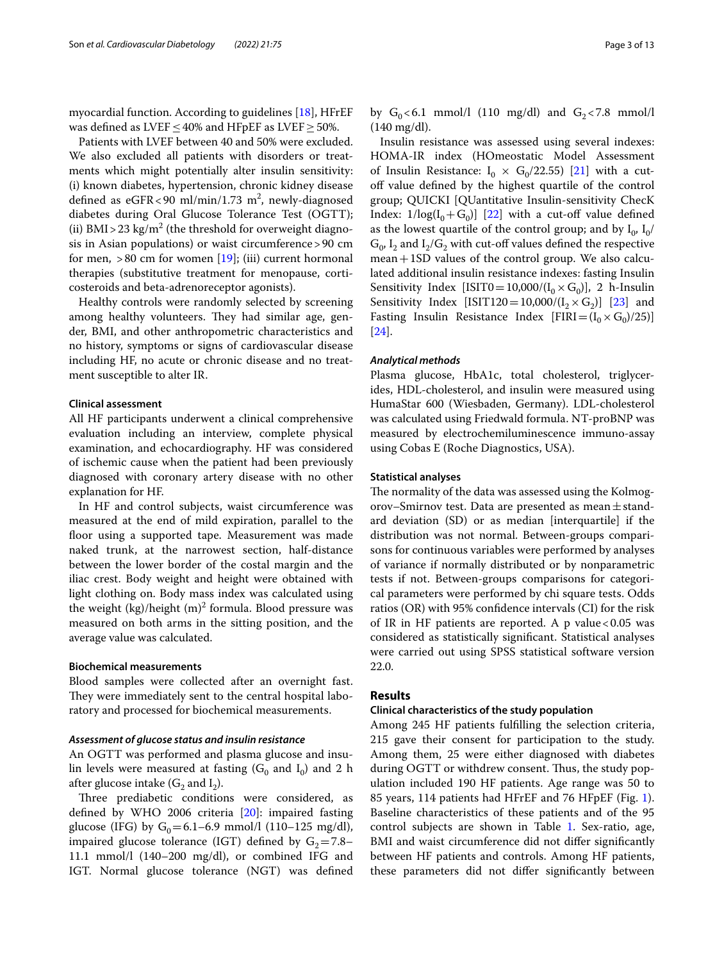myocardial function. According to guidelines [[18\]](#page-11-15), HFrEF was defined as LVEF < 40% and HFpEF as LVEF > 50%.

Patients with LVEF between 40 and 50% were excluded. We also excluded all patients with disorders or treatments which might potentially alter insulin sensitivity: (i) known diabetes, hypertension, chronic kidney disease defined as  $eGFR < 90 \text{ ml/min}/1.73 \text{ m}^2$ , newly-diagnosed diabetes during Oral Glucose Tolerance Test (OGTT); (ii) BMI > 23 kg/m<sup>2</sup> (the threshold for overweight diagnosis in Asian populations) or waist circumference>90 cm for men,  $>80$  cm for women [[19\]](#page-11-16); (iii) current hormonal therapies (substitutive treatment for menopause, corticosteroids and beta-adrenoreceptor agonists).

Healthy controls were randomly selected by screening among healthy volunteers. They had similar age, gender, BMI, and other anthropometric characteristics and no history, symptoms or signs of cardiovascular disease including HF, no acute or chronic disease and no treatment susceptible to alter IR.

#### **Clinical assessment**

All HF participants underwent a clinical comprehensive evaluation including an interview, complete physical examination, and echocardiography. HF was considered of ischemic cause when the patient had been previously diagnosed with coronary artery disease with no other explanation for HF.

In HF and control subjects, waist circumference was measured at the end of mild expiration, parallel to the floor using a supported tape. Measurement was made naked trunk, at the narrowest section, half-distance between the lower border of the costal margin and the iliac crest. Body weight and height were obtained with light clothing on. Body mass index was calculated using the weight (kg)/height  $(m)^2$  formula. Blood pressure was measured on both arms in the sitting position, and the average value was calculated.

#### **Biochemical measurements**

Blood samples were collected after an overnight fast. They were immediately sent to the central hospital laboratory and processed for biochemical measurements.

## *Assessment of glucose status and insulin resistance*

An OGTT was performed and plasma glucose and insulin levels were measured at fasting  $(G_0 \text{ and } I_0)$  and 2 h after glucose intake  $(G_2 \text{ and } I_2)$ .

Three prediabetic conditions were considered, as defned by WHO 2006 criteria [[20\]](#page-11-17): impaired fasting glucose (IFG) by  $G_0 = 6.1 - 6.9$  mmol/l (110–125 mg/dl), impaired glucose tolerance (IGT) defined by  $G_2=7.8-$ 11.1 mmol/l (140–200 mg/dl), or combined IFG and IGT. Normal glucose tolerance (NGT) was defned by  $G_0 < 6.1$  mmol/l (110 mg/dl) and  $G_2 < 7.8$  mmol/l (140 mg/dl).

Insulin resistance was assessed using several indexes: HOMA-IR index (HOmeostatic Model Assessment of Insulin Resistance:  $I_0 \times G_0/22.55$  [\[21\]](#page-11-18) with a cutoff value defined by the highest quartile of the control group; QUICKI [QUantitative Insulin-sensitivity ChecK Index:  $1/\log(I_0 + G_0)$  [[22\]](#page-11-19) with a cut-off value defined as the lowest quartile of the control group; and by  $I_0$ ,  $I_0$ /  $G_0$ ,  $I_2$  and  $I_2/G_2$  with cut-off values defined the respective mean+1SD values of the control group. We also calculated additional insulin resistance indexes: fasting Insulin Sensitivity Index [ISIT0=10,000/( $I_0 \times G_0$ )], 2 h-Insulin Sensitivity Index [ISIT120 = 10,000/( $I_2 \times G_2$ )] [[23](#page-11-20)] and Fasting Insulin Resistance Index  $[FIRI = (I_0 \times G_0)/25)]$ [[24\]](#page-11-21).

#### *Analytical methods*

Plasma glucose, HbA1c, total cholesterol, triglycerides, HDL-cholesterol, and insulin were measured using HumaStar 600 (Wiesbaden, Germany). LDL-cholesterol was calculated using Friedwald formula. NT-proBNP was measured by electrochemiluminescence immuno-assay using Cobas E (Roche Diagnostics, USA).

## **Statistical analyses**

The normality of the data was assessed using the Kolmogorov–Smirnov test. Data are presented as mean $\pm$ standard deviation (SD) or as median [interquartile] if the distribution was not normal. Between-groups comparisons for continuous variables were performed by analyses of variance if normally distributed or by nonparametric tests if not. Between-groups comparisons for categorical parameters were performed by chi square tests. Odds ratios (OR) with 95% confdence intervals (CI) for the risk of IR in HF patients are reported. A p value  $< 0.05$  was considered as statistically signifcant. Statistical analyses were carried out using SPSS statistical software version 22.0.

## **Results**

## **Clinical characteristics of the study population**

Among 245 HF patients fulflling the selection criteria, 215 gave their consent for participation to the study. Among them, 25 were either diagnosed with diabetes during OGTT or withdrew consent. Thus, the study population included 190 HF patients. Age range was 50 to 85 years, 114 patients had HFrEF and 76 HFpEF (Fig. [1](#page-3-0)). Baseline characteristics of these patients and of the 95 control subjects are shown in Table [1](#page-4-0). Sex-ratio, age, BMI and waist circumference did not difer signifcantly between HF patients and controls. Among HF patients, these parameters did not difer signifcantly between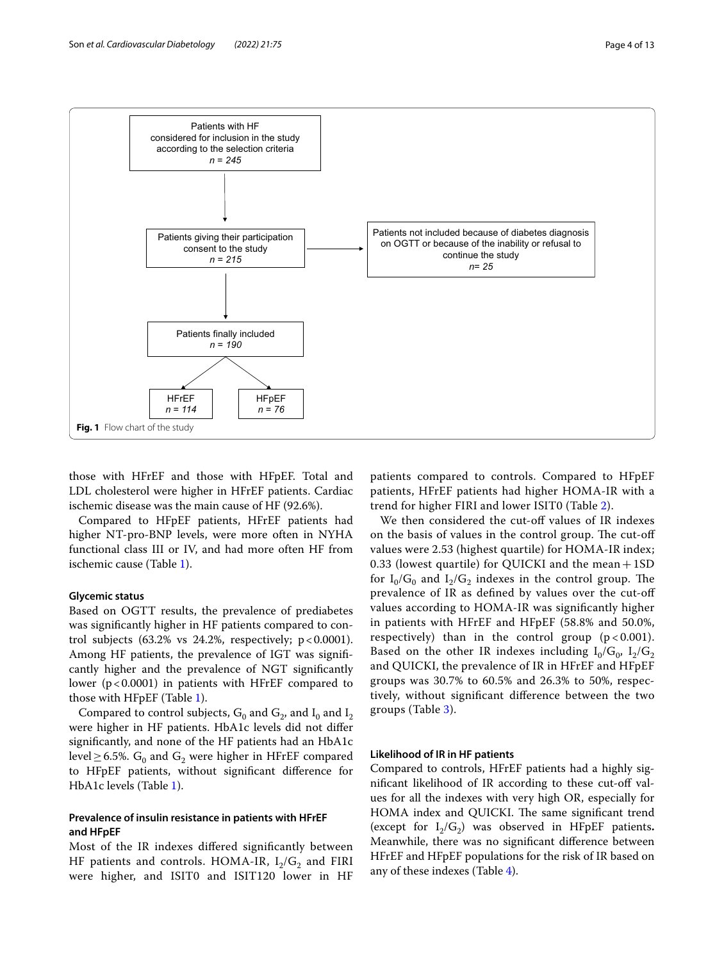

<span id="page-3-0"></span>those with HFrEF and those with HFpEF. Total and LDL cholesterol were higher in HFrEF patients. Cardiac ischemic disease was the main cause of HF (92.6%).

Compared to HFpEF patients, HFrEF patients had higher NT-pro-BNP levels, were more often in NYHA functional class III or IV, and had more often HF from ischemic cause (Table [1\)](#page-4-0).

## **Glycemic status**

Based on OGTT results, the prevalence of prediabetes was signifcantly higher in HF patients compared to control subjects  $(63.2\% \text{ vs } 24.2\% \text{, respectively}; \text{ p} < 0.0001).$ Among HF patients, the prevalence of IGT was signifcantly higher and the prevalence of NGT signifcantly lower ( $p < 0.0001$ ) in patients with HFrEF compared to those with HFpEF (Table [1](#page-4-0)).

Compared to control subjects,  $G_0$  and  $G_2$ , and  $I_0$  and  $I_2$ were higher in HF patients. HbA1c levels did not difer signifcantly, and none of the HF patients had an HbA1c level  $\geq$  6.5%. G<sub>0</sub> and G<sub>2</sub> were higher in HFrEF compared to HFpEF patients, without signifcant diference for HbA1c levels (Table [1\)](#page-4-0).

## **Prevalence of insulin resistance in patients with HFrEF and HFpEF**

Most of the IR indexes difered signifcantly between HF patients and controls. HOMA-IR,  $I_2/G_2$  and FIRI were higher, and ISIT0 and ISIT120 lower in HF patients compared to controls. Compared to HFpEF patients, HFrEF patients had higher HOMA-IR with a trend for higher FIRI and lower ISIT0 (Table [2](#page-5-0)).

We then considered the cut-off values of IR indexes on the basis of values in the control group. The cut-off values were 2.53 (highest quartile) for HOMA-IR index; 0.33 (lowest quartile) for QUICKI and the mean  $+1SD$ for  $I_0/G_0$  and  $I_2/G_2$  indexes in the control group. The prevalence of IR as defned by values over the cut-of values according to HOMA-IR was signifcantly higher in patients with HFrEF and HFpEF (58.8% and 50.0%, respectively) than in the control group  $(p < 0.001)$ . Based on the other IR indexes including  $I_0/G_0$ ,  $I_2/G_2$ and QUICKI, the prevalence of IR in HFrEF and HFpEF groups was 30.7% to 60.5% and 26.3% to 50%, respectively, without signifcant diference between the two groups (Table [3](#page-5-1)).

#### **Likelihood of IR in HF patients**

Compared to controls, HFrEF patients had a highly signifcant likelihood of IR according to these cut-of values for all the indexes with very high OR, especially for HOMA index and QUICKI. The same significant trend (except for  $I_2/G_2$ ) was observed in HFpEF patients. Meanwhile, there was no signifcant diference between HFrEF and HFpEF populations for the risk of IR based on any of these indexes (Table [4](#page-5-2)).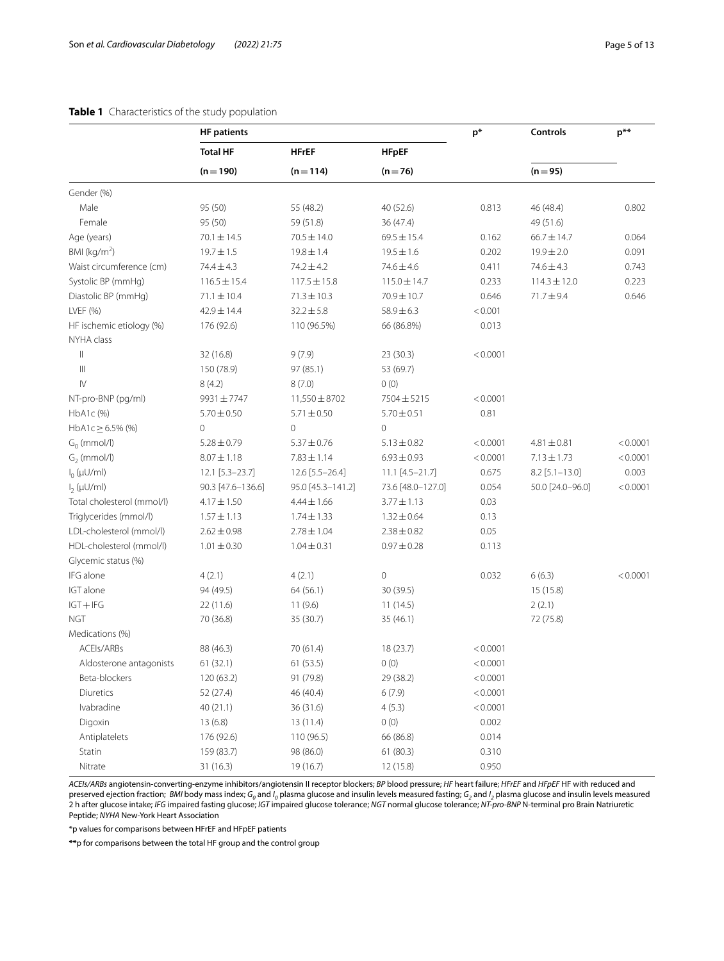## <span id="page-4-0"></span>**Table 1** Characteristics of the study population

|                                               | <b>HF</b> patients |                         |                   | $p^*$    | <b>Controls</b>  | $p^{**}$ |  |
|-----------------------------------------------|--------------------|-------------------------|-------------------|----------|------------------|----------|--|
|                                               | <b>Total HF</b>    | <b>HFrEF</b>            | <b>HFpEF</b>      |          |                  |          |  |
|                                               | $(n = 190)$        | $(n = 114)$<br>$(n=76)$ |                   |          | $(n=95)$         |          |  |
| Gender (%)                                    |                    |                         |                   |          |                  |          |  |
| Male                                          | 95 (50)            | 55 (48.2)               | 40 (52.6)         | 0.813    | 46 (48.4)        | 0.802    |  |
| Female                                        | 95 (50)            | 59 (51.8)               | 36 (47.4)         |          | 49 (51.6)        |          |  |
| Age (years)                                   | $70.1 \pm 14.5$    | $70.5 \pm 14.0$         | $69.5 \pm 15.4$   | 0.162    | $66.7 \pm 14.7$  | 0.064    |  |
| BMI ( $kg/m2$ )                               | $19.7 \pm 1.5$     | $19.8 \pm 1.4$          | $19.5 \pm 1.6$    | 0.202    | $19.9 \pm 2.0$   | 0.091    |  |
| Waist circumference (cm)                      | 74.4 ± 4.3         | $74.2 \pm 4.2$          | $74.6 \pm 4.6$    | 0.411    | $74.6 \pm 4.3$   | 0.743    |  |
| Systolic BP (mmHg)                            | $116.5 \pm 15.4$   | $117.5 \pm 15.8$        | $115.0 \pm 14.7$  | 0.233    | $114.3 \pm 12.0$ | 0.223    |  |
| Diastolic BP (mmHg)                           | $71.1 \pm 10.4$    | $71.3 \pm 10.3$         | 70.9 ± 10.7       | 0.646    | 71.7±9.4         | 0.646    |  |
| LVEF (%)                                      | 42.9±14.4          | $32.2 \pm 5.8$          | $58.9 \pm 6.3$    | < 0.001  |                  |          |  |
| HF ischemic etiology (%)                      | 176 (92.6)         | 110 (96.5%)             | 66 (86.8%)        | 0.013    |                  |          |  |
| NYHA class                                    |                    |                         |                   |          |                  |          |  |
| $\, \parallel$                                | 32 (16.8)          | 9(7.9)                  | 23 (30.3)         | < 0.0001 |                  |          |  |
| $\ensuremath{\left\vert \right\vert }\xspace$ | 150 (78.9)         | 97 (85.1)               | 53 (69.7)         |          |                  |          |  |
| $\mathsf{IV}$                                 | 8(4.2)             | 8(7.0)                  | 0(0)              |          |                  |          |  |
| NT-pro-BNP (pg/ml)                            | 9931±7747          | 11,550 ± 8702           | 7504±5215         | < 0.0001 |                  |          |  |
| HbA1c (%)                                     | $5.70 \pm 0.50$    | $5.71 \pm 0.50$         | $5.70 \pm 0.51$   | 0.81     |                  |          |  |
| HbA1c $\geq$ 6.5% (%)                         | 0                  | $\mathbf 0$             | $\mathbf 0$       |          |                  |          |  |
| $G_0$ (mmol/l)                                | $5.28 \pm 0.79$    | $5.37 \pm 0.76$         | $5.13 \pm 0.82$   | < 0.0001 | $4.81 \pm 0.81$  | < 0.0001 |  |
| $G2$ (mmol/l)                                 | $8.07 \pm 1.18$    | $7.83 \pm 1.14$         | $6.93 \pm 0.93$   | < 0.0001 | $7.13 \pm 1.73$  | < 0.0001 |  |
| $I_0(\mu U/ml)$                               | 12.1 [5.3-23.7]    | 12.6 [5.5-26.4]         | 11.1 [4.5-21.7]   | 0.675    | $8.2$ [5.1-13.0] | 0.003    |  |
| $I_2(\mu U/ml)$                               | 90.3 [47.6-136.6]  | 95.0 [45.3-141.2]       | 73.6 [48.0-127.0] | 0.054    | 50.0 [24.0-96.0] | < 0.0001 |  |
| Total cholesterol (mmol/l)                    | $4.17 \pm 1.50$    | $4.44 \pm 1.66$         | $3.77 \pm 1.13$   | 0.03     |                  |          |  |
| Triglycerides (mmol/l)                        | $1.57 \pm 1.13$    | $1.74 \pm 1.33$         | $1.32 \pm 0.64$   | 0.13     |                  |          |  |
| LDL-cholesterol (mmol/l)                      | $2.62 \pm 0.98$    | $2.78 \pm 1.04$         | $2.38 \pm 0.82$   | 0.05     |                  |          |  |
| HDL-cholesterol (mmol/l)                      | $1.01 \pm 0.30$    | $1.04 \pm 0.31$         | $0.97 \pm 0.28$   | 0.113    |                  |          |  |
| Glycemic status (%)                           |                    |                         |                   |          |                  |          |  |
| IFG alone                                     | 4(2.1)             | 4(2.1)                  | 0                 | 0.032    | 6(6.3)           | < 0.0001 |  |
| IGT alone                                     | 94 (49.5)          | 64 (56.1)               | 30 (39.5)         |          | 15 (15.8)        |          |  |
| $IGT + IFG$                                   | 22(11.6)           | 11(9.6)                 | 11(14.5)          |          | 2(2.1)           |          |  |
| <b>NGT</b>                                    | 70 (36.8)          | 35 (30.7)               | 35 (46.1)         |          | 72 (75.8)        |          |  |
| Medications (%)                               |                    |                         |                   |          |                  |          |  |
| ACEIs/ARBs                                    | 88 (46.3)          | 70 (61.4)               | 18 (23.7)         | < 0.0001 |                  |          |  |
| Aldosterone antagonists                       | 61(32.1)           | 61 (53.5)               | 0(0)              | < 0.0001 |                  |          |  |
| Beta-blockers                                 | 120 (63.2)         | 91 (79.8)               | 29 (38.2)         | < 0.0001 |                  |          |  |
| Diuretics                                     | 52 (27.4)          | 46 (40.4)               | 6(7.9)            | < 0.0001 |                  |          |  |
| Ivabradine                                    | 40 (21.1)          | 36 (31.6)               | 4(5.3)            | < 0.0001 |                  |          |  |
| Digoxin                                       | 13(6.8)            | 13(11.4)                | 0(0)              | 0.002    |                  |          |  |
| Antiplatelets                                 | 176 (92.6)         | 110 (96.5)              | 66 (86.8)         | 0.014    |                  |          |  |
| Statin                                        | 159 (83.7)         | 98 (86.0)               | 61(80.3)          | 0.310    |                  |          |  |
| Nitrate                                       | 31(16.3)           | 19 (16.7)               | 12 (15.8)         | 0.950    |                  |          |  |

*ACEIs/ARBs* angiotensin-converting-enzyme inhibitors/angiotensin II receptor blockers; *BP* blood pressure; *HF* heart failure; *HFrEF* and *HFpEF* HF with reduced and preserved ejection fraction; *BMI* body mass index; G<sub>o</sub> and I<sub>o</sub> plasma glucose and insulin levels measured fasting; G<sub>2</sub> and I<sub>2</sub> plasma glucose and insulin levels measured<br>2 h after glucose intake; IFG impaired fasting Peptide; *NYHA* New-York Heart Association

\*p values for comparisons between HFrEF and HFpEF patients

**\*\***p for comparisons between the total HF group and the control group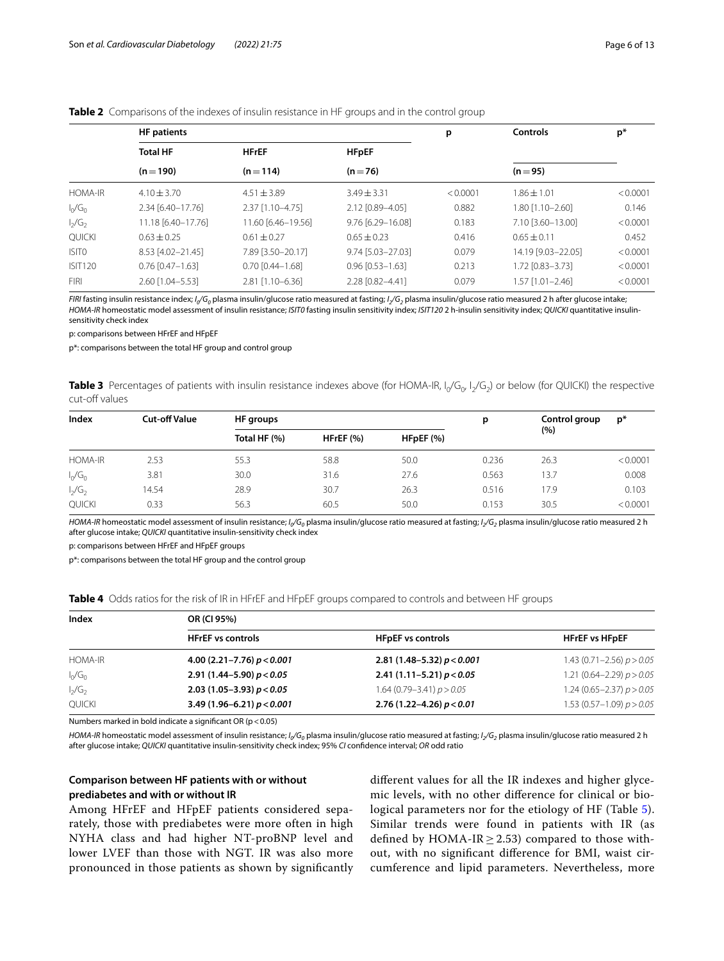## <span id="page-5-0"></span>**Table 2** Comparisons of the indexes of insulin resistance in HF groups and in the control group

|                   | <b>HF</b> patients              |                        |                        | p        | <b>Controls</b>    | $p*$     |
|-------------------|---------------------------------|------------------------|------------------------|----------|--------------------|----------|
|                   | <b>Total HF</b><br><b>HFrEF</b> |                        | <b>HFpEF</b>           |          |                    |          |
|                   | $(n=190)$                       | $(n=114)$              | $(n=76)$               |          | $(n = 95)$         |          |
| <b>HOMA-IR</b>    | $4.10 + 3.70$                   | $4.51 + 3.89$          | $3.49 \pm 3.31$        | < 0.0001 | $1.86 + 1.01$      | < 0.0001 |
| $I_0/G_0$         | 2.34 [6.40-17.76]               | 2.37 [1.10-4.75]       | 2.12 [0.89-4.05]       | 0.882    | 1.80 [1.10-2.60]   | 0.146    |
| $I_2/G_2$         | 11.18 [6.40-17.76]              | 11.60 [6.46-19.56]     | 9.76 [6.29-16.08]      | 0.183    | 7.10 [3.60-13.00]  | < 0.0001 |
| <b>QUICKI</b>     | $0.63 \pm 0.25$                 | $0.61 \pm 0.27$        | $0.65 \pm 0.23$        | 0.416    | $0.65 + 0.11$      | 0.452    |
| ISIT <sub>0</sub> | 8.53 [4.02-21.45]               | 7.89 [3.50-20.17]      | 9.74 [5.03-27.03]      | 0.079    | 14.19 [9.03-22.05] | < 0.0001 |
| <b>ISIT120</b>    | $0.76$ $[0.47 - 1.63]$          | $0.70$ $[0.44 - 1.68]$ | $0.96$ $[0.53 - 1.63]$ | 0.213    | 1.72 [0.83-3.73]   | < 0.0001 |
| <b>FIRI</b>       | 2.60 [1.04-5.53]                | 2.81 [1.10-6.36]       | 2.28 [0.82-4.41]       | 0.079    | $1.57$ [1.01-2.46] | < 0.0001 |

*FIRI* fasting insulin resistance index; *I 0/G0* plasma insulin/glucose ratio measured at fasting; *I 2/G2* plasma insulin/glucose ratio measured 2 h after glucose intake; *HOMA-IR* homeostatic model assessment of insulin resistance; *ISIT0* fasting insulin sensitivity index; *ISIT120* 2 h-insulin sensitivity index; *QUICKI* quantitative insulinsensitivity check index

p: comparisons between HFrEF and HFpEF

p\*: comparisons between the total HF group and control group

<span id="page-5-1"></span>Table 3 Percentages of patients with insulin resistance indexes above (for HOMA-IR, I<sub>o</sub>/G<sub>o</sub>, I<sub>2</sub>/G<sub>2</sub>) or below (for QUICKI) the respective cut-off values

| Index          | <b>Cut-off Value</b> | HF groups    |           |           | р     | Control group | $p^*$    |
|----------------|----------------------|--------------|-----------|-----------|-------|---------------|----------|
|                |                      | Total HF (%) | HFrEF (%) | HFpEF (%) |       | (%)           |          |
| <b>HOMA-IR</b> | 2.53                 | 55.3         | 58.8      | 50.0      | 0.236 | 26.3          | < 0.0001 |
| $I_0/G_0$      | 3.81                 | 30.0         | 31.6      | 27.6      | 0.563 | 13.7          | 0.008    |
| $I_2/G_2$      | 14.54                | 28.9         | 30.7      | 26.3      | 0.516 | 17.9          | 0.103    |
| <b>QUICKI</b>  | 0.33                 | 56.3         | 60.5      | 50.0      | 0.153 | 30.5          | < 0.0001 |

*HOMA-IR* homeostatic model assessment of insulin resistance; /<sub>o</sub>/G<sub>0</sub> plasma insulin/glucose ratio measured at fasting; /<sub>2</sub>/G<sub>2</sub> plasma insulin/glucose ratio measured 2 h after glucose intake; *QUICKI* quantitative insulin-sensitivity check index

p: comparisons between HFrEF and HFpEF groups

p\*: comparisons between the total HF group and the control group

<span id="page-5-2"></span>

|  |  |  | Table 4 Odds ratios for the risk of IR in HFrEF and HFpEF groups compared to controls and between HF groups |  |
|--|--|--|-------------------------------------------------------------------------------------------------------------|--|
|  |  |  |                                                                                                             |  |

| Index          | OR (CI 95%)                  |                               |                               |  |  |  |  |
|----------------|------------------------------|-------------------------------|-------------------------------|--|--|--|--|
|                | <b>HFrEF</b> vs controls     | <b>HFpEF</b> vs controls      | <b>HFrEF vs HFpEF</b>         |  |  |  |  |
| <b>HOMA-IR</b> | 4.00 (2.21-7.76) $p < 0.001$ | 2.81 (1.48–5.32) $p < 0.001$  | 1.43 $(0.71 - 2.56) p > 0.05$ |  |  |  |  |
| $I_0/G_0$      | 2.91 (1.44-5.90) $p < 0.05$  | 2.41 (1.11-5.21) $p < 0.05$   | 1.21 $(0.64 - 2.29) p > 0.05$ |  |  |  |  |
| $I_2/G_2$      | 2.03 (1.05-3.93) $p < 0.05$  | 1.64 (0.79 - 3.41) $p > 0.05$ | 1.24 (0.65-2.37) $p > 0.05$   |  |  |  |  |
| QUICKI         | 3.49 (1.96-6.21) $p < 0.001$ | 2.76 (1.22-4.26) $p < 0.01$   | 1.53 (0.57-1.09) $p > 0.05$   |  |  |  |  |

Numbers marked in bold indicate a significant OR ( $p < 0.05$ )

*HOMA-IR* homeostatic model assessment of insulin resistance; /<sub>o</sub>/G<sub>0</sub> plasma insulin/glucose ratio measured at fasting; /<sub>2</sub>/G<sub>2</sub> plasma insulin/glucose ratio measured 2 h after glucose intake; *QUICKI* quantitative insulin-sensitivity check index; 95% *CI* confdence interval; *OR* odd ratio

## **Comparison between HF patients with or without prediabetes and with or without IR**

Among HFrEF and HFpEF patients considered separately, those with prediabetes were more often in high NYHA class and had higher NT-proBNP level and lower LVEF than those with NGT. IR was also more pronounced in those patients as shown by signifcantly diferent values for all the IR indexes and higher glycemic levels, with no other diference for clinical or biological parameters nor for the etiology of HF (Table [5](#page-6-0)). Similar trends were found in patients with IR (as defined by HOMA-IR  $\geq$  2.53) compared to those without, with no signifcant diference for BMI, waist circumference and lipid parameters. Nevertheless, more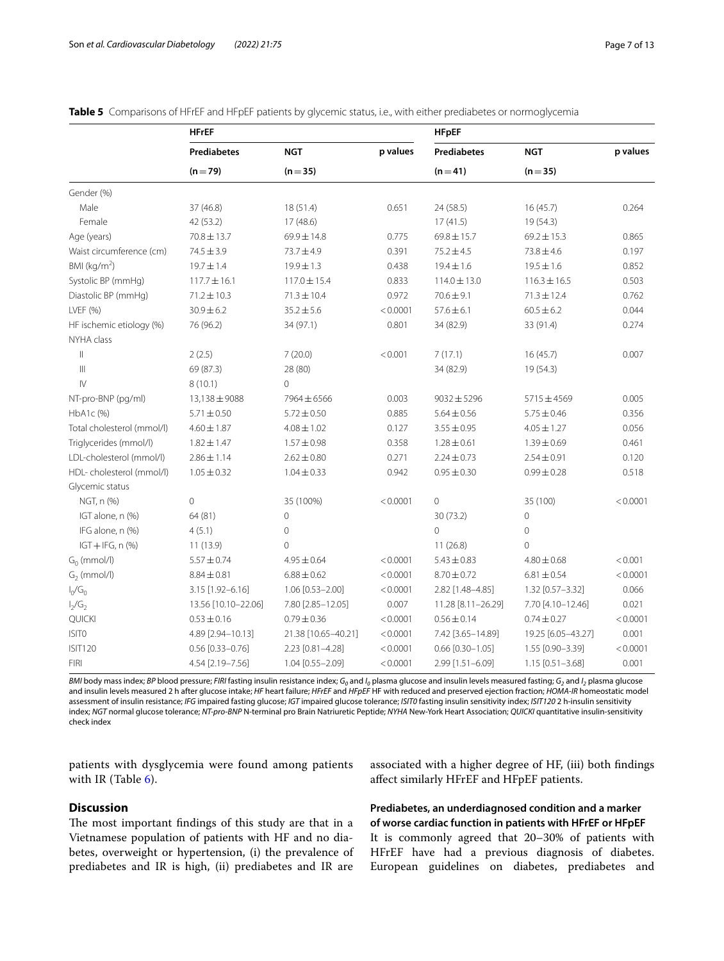|                            | <b>HFrEF</b>        |                     |          | <b>HFpEF</b>        |                    |          |  |  |  |
|----------------------------|---------------------|---------------------|----------|---------------------|--------------------|----------|--|--|--|
|                            | <b>Prediabetes</b>  | <b>NGT</b>          | p values | <b>Prediabetes</b>  | <b>NGT</b>         | p values |  |  |  |
|                            | $(n=79)$            | $(n=35)$            |          | $(n=41)$            | $(n=35)$           |          |  |  |  |
| Gender (%)                 |                     |                     |          |                     |                    |          |  |  |  |
| Male                       | 37 (46.8)           | 18(51.4)            | 0.651    | 24 (58.5)           | 16(45.7)           | 0.264    |  |  |  |
| Female                     | 42 (53.2)           | 17 (48.6)           |          | 17(41.5)            | 19 (54.3)          |          |  |  |  |
| Age (years)                | $70.8 \pm 13.7$     | 69.9±14.8           | 0.775    | $69.8 \pm 15.7$     | $69.2 \pm 15.3$    | 0.865    |  |  |  |
| Waist circumference (cm)   | $74.5 \pm 3.9$      | 73.7±4.9            | 0.391    | $75.2 \pm 4.5$      | $73.8 \pm 4.6$     | 0.197    |  |  |  |
| BMI ( $kg/m2$ )            | $19.7 \pm 1.4$      | $19.9 \pm 1.3$      | 0.438    | $19.4 \pm 1.6$      | $19.5 \pm 1.6$     | 0.852    |  |  |  |
| Systolic BP (mmHg)         | $117.7 \pm 16.1$    | $117.0 \pm 15.4$    | 0.833    | $114.0 \pm 13.0$    | $116.3 \pm 16.5$   | 0.503    |  |  |  |
| Diastolic BP (mmHg)        | $71.2 \pm 10.3$     | $71.3 \pm 10.4$     | 0.972    | $70.6 \pm 9.1$      | $71.3 \pm 12.4$    | 0.762    |  |  |  |
| LVEF (%)                   | $30.9 \pm 6.2$      | $35.2 \pm 5.6$      | < 0.0001 | $57.6 \pm 6.1$      | $60.5 \pm 6.2$     | 0.044    |  |  |  |
| HF ischemic etiology (%)   | 76 (96.2)           | 34 (97.1)           | 0.801    | 34 (82.9)           | 33 (91.4)          | 0.274    |  |  |  |
| NYHA class                 |                     |                     |          |                     |                    |          |  |  |  |
| $\parallel$                | 2(2.5)              | 7(20.0)             | < 0.001  | 7(17.1)             | 16(45.7)           | 0.007    |  |  |  |
| $\parallel \parallel$      | 69 (87.3)           | 28 (80)             |          | 34 (82.9)           | 19 (54.3)          |          |  |  |  |
| $\mathsf{IV}$              | 8(10.1)             | $\overline{0}$      |          |                     |                    |          |  |  |  |
| NT-pro-BNP (pg/ml)         | 13,138 ± 9088       | 7964 ± 6566         | 0.003    | $9032 \pm 5296$     | $5715 \pm 4569$    | 0.005    |  |  |  |
| HbA1c (%)                  | $5.71 \pm 0.50$     | $5.72 \pm 0.50$     | 0.885    | $5.64 \pm 0.56$     | $5.75 \pm 0.46$    | 0.356    |  |  |  |
| Total cholesterol (mmol/l) | $4.60 \pm 1.87$     | $4.08 \pm 1.02$     | 0.127    | $3.55 \pm 0.95$     | $4.05 \pm 1.27$    | 0.056    |  |  |  |
| Triglycerides (mmol/l)     | $1.82 \pm 1.47$     | $1.57 \pm 0.98$     | 0.358    | $1.28 \pm 0.61$     | $1.39 \pm 0.69$    | 0.461    |  |  |  |
| LDL-cholesterol (mmol/l)   | $2.86 \pm 1.14$     | $2.62 \pm 0.80$     | 0.271    | $2.24 \pm 0.73$     | $2.54 \pm 0.91$    | 0.120    |  |  |  |
| HDL-cholesterol (mmol/l)   | $1.05 \pm 0.32$     | $1.04 \pm 0.33$     | 0.942    | $0.95 \pm 0.30$     | $0.99 \pm 0.28$    | 0.518    |  |  |  |
| Glycemic status            |                     |                     |          |                     |                    |          |  |  |  |
| NGT, n (%)                 | $\overline{0}$      | 35 (100%)           | < 0.0001 | $\mathsf{O}\xspace$ | 35 (100)           | < 0.0001 |  |  |  |
| IGT alone, n (%)           | 64 (81)             | $\mathbf 0$         |          | 30 (73.2)           | $\overline{0}$     |          |  |  |  |
| IFG alone, n (%)           | 4(5.1)              | 0                   |          | $\overline{0}$      | $\circ$            |          |  |  |  |
| $IGT + IFG, n$ (%)         | 11(13.9)            | $\Omega$            |          | 11(26.8)            | $\Omega$           |          |  |  |  |
| $G_0$ (mmol/l)             | $5.57 \pm 0.74$     | $4.95 \pm 0.64$     | < 0.0001 | $5.43 \pm 0.83$     | $4.80 \pm 0.68$    | < 0.001  |  |  |  |
| $G2$ (mmol/l)              | $8.84 \pm 0.81$     | $6.88 \pm 0.62$     | < 0.0001 | $8.70 \pm 0.72$     | $6.81 \pm 0.54$    | < 0.0001 |  |  |  |
| $I_0/G_0$                  | 3.15 [1.92-6.16]    | 1.06 [0.53-2.00]    | < 0.0001 | 2.82 [1.48-4.85]    | 1.32 [0.57-3.32]   | 0.066    |  |  |  |
| $I_2/G_2$                  | 13.56 [10.10-22.06] | 7.80 [2.85-12.05]   | 0.007    | 11.28 [8.11-26.29]  | 7.70 [4.10-12.46]  | 0.021    |  |  |  |
| QUICKI                     | $0.53 \pm 0.16$     | $0.79 \pm 0.36$     | < 0.0001 | $0.56 \pm 0.14$     | $0.74 \pm 0.27$    | < 0.0001 |  |  |  |
| <b>ISITO</b>               | 4.89 [2.94-10.13]   | 21.38 [10.65-40.21] | < 0.0001 | 7.42 [3.65-14.89]   | 19.25 [6.05-43.27] | 0.001    |  |  |  |
| <b>ISIT120</b>             | $0.56$ [0.33-0.76]  | 2.23 [0.81-4.28]    | < 0.0001 | $0.66$ [0.30-1.05]  | 1.55 [0.90-3.39]   | < 0.0001 |  |  |  |
| <b>FIRI</b>                | 4.54 [2.19-7.56]    | 1.04 [0.55-2.09]    | < 0.0001 | 2.99 [1.51-6.09]    | $1.15$ [0.51-3.68] | 0.001    |  |  |  |

<span id="page-6-0"></span>**Table 5** Comparisons of HFrEF and HFpEF patients by glycemic status, i.e., with either prediabetes or normoglycemia

*BMI* body mass index; *BP* blood pressure; FIRI fasting insulin resistance index; G<sub>0</sub> and I<sub>0</sub> plasma glucose and insulin levels measured fasting; G<sub>2</sub> and I<sub>2</sub> plasma glucose and insulin levels measured 2 h after glucose intake; *HF* heart failure; *HFrEF* and *HFpEF* HF with reduced and preserved ejection fraction; *HOMA-IR* homeostatic model assessment of insulin resistance; *IFG* impaired fasting glucose; *IGT* impaired glucose tolerance; *ISIT0* fasting insulin sensitivity index; *ISIT120* 2 h-insulin sensitivity index; *NGT* normal glucose tolerance; *NT-pro-BNP* N-terminal pro Brain Natriuretic Peptide; *NYHA* New-York Heart Association; *QUICKI* quantitative insulin-sensitivity check index

patients with dysglycemia were found among patients with IR (Table [6\)](#page-7-0).

## **Discussion**

The most important findings of this study are that in a Vietnamese population of patients with HF and no diabetes, overweight or hypertension, (i) the prevalence of prediabetes and IR is high, (ii) prediabetes and IR are

associated with a higher degree of HF, (iii) both fndings afect similarly HFrEF and HFpEF patients.

**Prediabetes, an underdiagnosed condition and a marker of worse cardiac function in patients with HFrEF or HFpEF** It is commonly agreed that 20–30% of patients with HFrEF have had a previous diagnosis of diabetes. European guidelines on diabetes, prediabetes and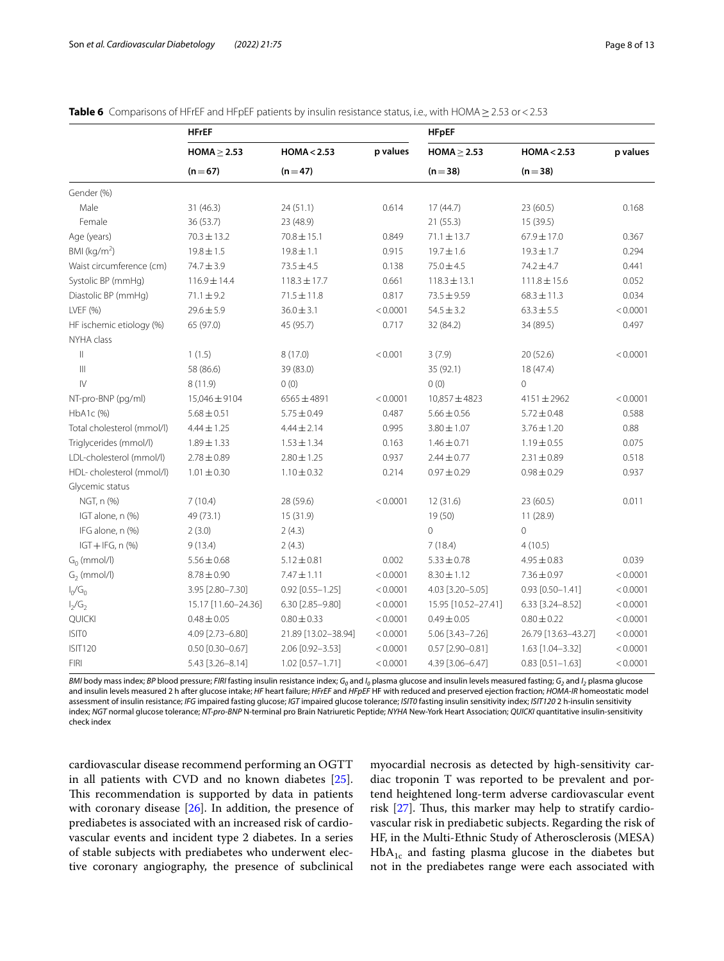|                            | HFrEF               |                     |          | <b>HFpEF</b>        |                        |          |  |  |
|----------------------------|---------------------|---------------------|----------|---------------------|------------------------|----------|--|--|
|                            | $HOMA \geq 2.53$    | HOMA < 2.53         | p values | $HOMA \geq 2.53$    | HOMA < 2.53            | p values |  |  |
|                            | $(n=67)$            | $(n=47)$            |          | $(n=38)$            | $(n=38)$               |          |  |  |
| Gender (%)                 |                     |                     |          |                     |                        |          |  |  |
| Male                       | 31 (46.3)           | 24(51.1)            | 0.614    | 17(44.7)            | 23(60.5)               | 0.168    |  |  |
| Female                     | 36 (53.7)           | 23 (48.9)           |          | 21(55.3)            | 15 (39.5)              |          |  |  |
| Age (years)                | $70.3 \pm 13.2$     | $70.8 \pm 15.1$     | 0.849    | $71.1 \pm 13.7$     | 67.9±17.0              | 0.367    |  |  |
| BMI ( $kg/m2$ )            | $19.8 \pm 1.5$      | $19.8 \pm 1.1$      | 0.915    | $19.7 \pm 1.6$      | $19.3 \pm 1.7$         | 0.294    |  |  |
| Waist circumference (cm)   | 74.7±3.9            | $73.5 \pm 4.5$      | 0.138    | $75.0 \pm 4.5$      | 74.2 ± 4.7             | 0.441    |  |  |
| Systolic BP (mmHg)         | 116.9±14.4          | $118.3 \pm 17.7$    | 0.661    | $118.3 \pm 13.1$    | $111.8 \pm 15.6$       | 0.052    |  |  |
| Diastolic BP (mmHq)        | $71.1 \pm 9.2$      | $71.5 \pm 11.8$     | 0.817    | $73.5 \pm 9.59$     | $68.3 \pm 11.3$        | 0.034    |  |  |
| LVEF (%)                   | $29.6 \pm 5.9$      | $36.0 \pm 3.1$      | < 0.0001 | $54.5 \pm 3.2$      | $63.3 \pm 5.5$         | < 0.0001 |  |  |
| HF ischemic etiology (%)   | 65 (97.0)           | 45 (95.7)           | 0.717    | 32 (84.2)           | 34 (89.5)              | 0.497    |  |  |
| NYHA class                 |                     |                     |          |                     |                        |          |  |  |
| $\vert\vert$               | 1(1.5)              | 8 (17.0)            | < 0.001  | 3(7.9)              | 20 (52.6)              | < 0.0001 |  |  |
| $\  \ $                    | 58 (86.6)           | 39 (83.0)           |          | 35 (92.1)           | 18 (47.4)              |          |  |  |
| $\mathsf{I}\mathsf{V}$     | 8(11.9)             | 0(0)                |          | 0(0)                | $\circ$                |          |  |  |
| NT-pro-BNP (pg/ml)         | 15,046±9104         | $6565 \pm 4891$     | < 0.0001 | $10,857 \pm 4823$   | $4151 \pm 2962$        | < 0.0001 |  |  |
| HbA1c (%)                  | $5.68 \pm 0.51$     | $5.75 \pm 0.49$     | 0.487    | $5.66 \pm 0.56$     | $5.72 \pm 0.48$        | 0.588    |  |  |
| Total cholesterol (mmol/l) | $4.44 \pm 1.25$     | $4.44 \pm 2.14$     | 0.995    | $3.80 \pm 1.07$     | $3.76 \pm 1.20$        | 0.88     |  |  |
| Triglycerides (mmol/l)     | $1.89 \pm 1.33$     | $1.53 \pm 1.34$     | 0.163    | $1.46 \pm 0.71$     | $1.19 \pm 0.55$        | 0.075    |  |  |
| LDL-cholesterol (mmol/l)   | $2.78 \pm 0.89$     | $2.80 \pm 1.25$     | 0.937    | $2.44 \pm 0.77$     | $2.31 \pm 0.89$        | 0.518    |  |  |
| HDL-cholesterol (mmol/l)   | $1.01 \pm 0.30$     | $1.10 \pm 0.32$     | 0.214    | $0.97 \pm 0.29$     | $0.98 \pm 0.29$        | 0.937    |  |  |
| Glycemic status            |                     |                     |          |                     |                        |          |  |  |
| NGT, n (%)                 | 7(10.4)             | 28 (59.6)           | < 0.0001 | 12(31.6)            | 23 (60.5)              | 0.011    |  |  |
| IGT alone, n (%)           | 49 (73.1)           | 15(31.9)            |          | 19 (50)             | 11(28.9)               |          |  |  |
| IFG alone, n (%)           | 2(3.0)              | 2(4.3)              |          | $\Omega$            | 0                      |          |  |  |
| $IGT + IFG, n$ (%)         | 9(13.4)             | 2(4.3)              |          | 7(18.4)             | 4(10.5)                |          |  |  |
| $G_0$ (mmol/l)             | $5.56 \pm 0.68$     | $5.12 \pm 0.81$     | 0.002    | $5.33 \pm 0.78$     | $4.95 \pm 0.83$        | 0.039    |  |  |
| $G2$ (mmol/l)              | $8.78 \pm 0.90$     | $7.47 \pm 1.11$     | < 0.0001 | $8.30 \pm 1.12$     | $7.36 \pm 0.97$        | < 0.0001 |  |  |
| $I_0/G_0$                  | 3.95 [2.80-7.30]    | $0.92$ [0.55-1.25]  | < 0.0001 | 4.03 [3.20-5.05]    | $0.93$ $[0.50 - 1.41]$ | < 0.0001 |  |  |
| $I_2/G_2$                  | 15.17 [11.60-24.36] | 6.30 [2.85-9.80]    | < 0.0001 | 15.95 [10.52-27.41] | 6.33 [3.24-8.52]       | < 0.0001 |  |  |
| QUICKI                     | $0.48 \pm 0.05$     | $0.80 \pm 0.33$     | < 0.0001 | $0.49 \pm 0.05$     | $0.80 \pm 0.22$        | < 0.0001 |  |  |
| <b>ISITO</b>               | 4.09 [2.73-6.80]    | 21.89 [13.02-38.94] | < 0.0001 | 5.06 [3.43-7.26]    | 26.79 [13.63-43.27]    | < 0.0001 |  |  |
| <b>ISIT120</b>             | $0.50$ [0.30-0.67]  | 2.06 [0.92-3.53]    | < 0.0001 | $0.57$ [2.90-0.81]  | 1.63 [1.04-3.32]       | < 0.0001 |  |  |
| <b>FIRI</b>                | 5.43 [3.26-8.14]    | 1.02 [0.57-1.71]    | < 0.0001 | 4.39 [3.06-6.47]    | $0.83$ $[0.51 - 1.63]$ | < 0.0001 |  |  |

<span id="page-7-0"></span>**Table 6** Comparisons of HFrEF and HFpEF patients by insulin resistance status, i.e., with HOMA≥2.53 or<2.53

*BMI* body mass index; *BP* blood pressure; FIRI fasting insulin resistance index; G<sub>0</sub> and I<sub>0</sub> plasma glucose and insulin levels measured fasting; G<sub>2</sub> and I<sub>2</sub> plasma glucose and insulin levels measured 2 h after glucose intake; *HF* heart failure; *HFrEF* and *HFpEF* HF with reduced and preserved ejection fraction; *HOMA-IR* homeostatic model assessment of insulin resistance; *IFG* impaired fasting glucose; *IGT* impaired glucose tolerance; *ISIT0* fasting insulin sensitivity index; *ISIT120* 2 h-insulin sensitivity index; *NGT* normal glucose tolerance; *NT-pro-BNP* N-terminal pro Brain Natriuretic Peptide; *NYHA* New-York Heart Association; *QUICKI* quantitative insulin-sensitivity check index

cardiovascular disease recommend performing an OGTT in all patients with CVD and no known diabetes [\[25](#page-11-22)]. This recommendation is supported by data in patients with coronary disease [\[26\]](#page-11-23). In addition, the presence of prediabetes is associated with an increased risk of cardiovascular events and incident type 2 diabetes. In a series of stable subjects with prediabetes who underwent elective coronary angiography, the presence of subclinical myocardial necrosis as detected by high-sensitivity cardiac troponin T was reported to be prevalent and portend heightened long-term adverse cardiovascular event risk  $[27]$  $[27]$  $[27]$ . Thus, this marker may help to stratify cardiovascular risk in prediabetic subjects. Regarding the risk of HF, in the Multi-Ethnic Study of Atherosclerosis (MESA)  $HbA_{1c}$  and fasting plasma glucose in the diabetes but not in the prediabetes range were each associated with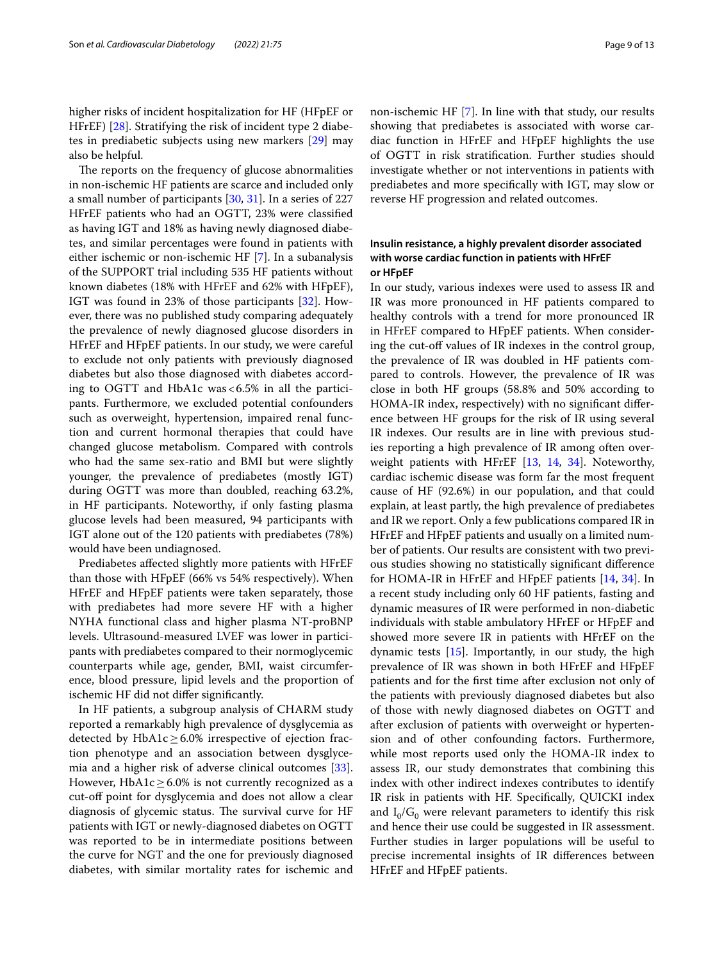higher risks of incident hospitalization for HF (HFpEF or HFrEF) [\[28\]](#page-11-25). Stratifying the risk of incident type 2 diabetes in prediabetic subjects using new markers [[29\]](#page-11-26) may also be helpful.

The reports on the frequency of glucose abnormalities in non-ischemic HF patients are scarce and included only a small number of participants [\[30](#page-11-27), [31\]](#page-11-28). In a series of 227 HFrEF patients who had an OGTT, 23% were classifed as having IGT and 18% as having newly diagnosed diabetes, and similar percentages were found in patients with either ischemic or non-ischemic HF [\[7\]](#page-11-4). In a subanalysis of the SUPPORT trial including 535 HF patients without known diabetes (18% with HFrEF and 62% with HFpEF), IGT was found in 23% of those participants [[32](#page-11-29)]. However, there was no published study comparing adequately the prevalence of newly diagnosed glucose disorders in HFrEF and HFpEF patients. In our study, we were careful to exclude not only patients with previously diagnosed diabetes but also those diagnosed with diabetes according to OGTT and HbA1c was<6.5% in all the participants. Furthermore, we excluded potential confounders such as overweight, hypertension, impaired renal function and current hormonal therapies that could have changed glucose metabolism. Compared with controls who had the same sex-ratio and BMI but were slightly younger, the prevalence of prediabetes (mostly IGT) during OGTT was more than doubled, reaching 63.2%, in HF participants. Noteworthy, if only fasting plasma glucose levels had been measured, 94 participants with IGT alone out of the 120 patients with prediabetes (78%) would have been undiagnosed.

Prediabetes afected slightly more patients with HFrEF than those with HFpEF (66% vs 54% respectively). When HFrEF and HFpEF patients were taken separately, those with prediabetes had more severe HF with a higher NYHA functional class and higher plasma NT-proBNP levels. Ultrasound-measured LVEF was lower in participants with prediabetes compared to their normoglycemic counterparts while age, gender, BMI, waist circumference, blood pressure, lipid levels and the proportion of ischemic HF did not difer signifcantly.

In HF patients, a subgroup analysis of CHARM study reported a remarkably high prevalence of dysglycemia as detected by HbA1c $\geq$ 6.0% irrespective of ejection fraction phenotype and an association between dysglycemia and a higher risk of adverse clinical outcomes [\[33](#page-11-30)]. However, HbA1c $\geq$  6.0% is not currently recognized as a cut-off point for dysglycemia and does not allow a clear diagnosis of glycemic status. The survival curve for HF patients with IGT or newly-diagnosed diabetes on OGTT was reported to be in intermediate positions between the curve for NGT and the one for previously diagnosed diabetes, with similar mortality rates for ischemic and non-ischemic HF [[7\]](#page-11-4). In line with that study, our results showing that prediabetes is associated with worse cardiac function in HFrEF and HFpEF highlights the use of OGTT in risk stratifcation. Further studies should investigate whether or not interventions in patients with prediabetes and more specifcally with IGT, may slow or reverse HF progression and related outcomes.

## **Insulin resistance, a highly prevalent disorder associated with worse cardiac function in patients with HFrEF or HFpEF**

In our study, various indexes were used to assess IR and IR was more pronounced in HF patients compared to healthy controls with a trend for more pronounced IR in HFrEF compared to HFpEF patients. When considering the cut-off values of IR indexes in the control group, the prevalence of IR was doubled in HF patients compared to controls. However, the prevalence of IR was close in both HF groups (58.8% and 50% according to HOMA-IR index, respectively) with no signifcant diference between HF groups for the risk of IR using several IR indexes. Our results are in line with previous studies reporting a high prevalence of IR among often overweight patients with HFrEF [\[13,](#page-11-10) [14](#page-11-11), [34](#page-11-31)]. Noteworthy, cardiac ischemic disease was form far the most frequent cause of HF (92.6%) in our population, and that could explain, at least partly, the high prevalence of prediabetes and IR we report. Only a few publications compared IR in HFrEF and HFpEF patients and usually on a limited number of patients. Our results are consistent with two previous studies showing no statistically signifcant diference for HOMA-IR in HFrEF and HFpEF patients [[14](#page-11-11), [34](#page-11-31)]. In a recent study including only 60 HF patients, fasting and dynamic measures of IR were performed in non-diabetic individuals with stable ambulatory HFrEF or HFpEF and showed more severe IR in patients with HFrEF on the dynamic tests [\[15\]](#page-11-12). Importantly, in our study, the high prevalence of IR was shown in both HFrEF and HFpEF patients and for the frst time after exclusion not only of the patients with previously diagnosed diabetes but also of those with newly diagnosed diabetes on OGTT and after exclusion of patients with overweight or hypertension and of other confounding factors. Furthermore, while most reports used only the HOMA-IR index to assess IR, our study demonstrates that combining this index with other indirect indexes contributes to identify IR risk in patients with HF. Specifcally, QUICKI index and  $I_0/G_0$  were relevant parameters to identify this risk and hence their use could be suggested in IR assessment. Further studies in larger populations will be useful to precise incremental insights of IR diferences between HFrEF and HFpEF patients.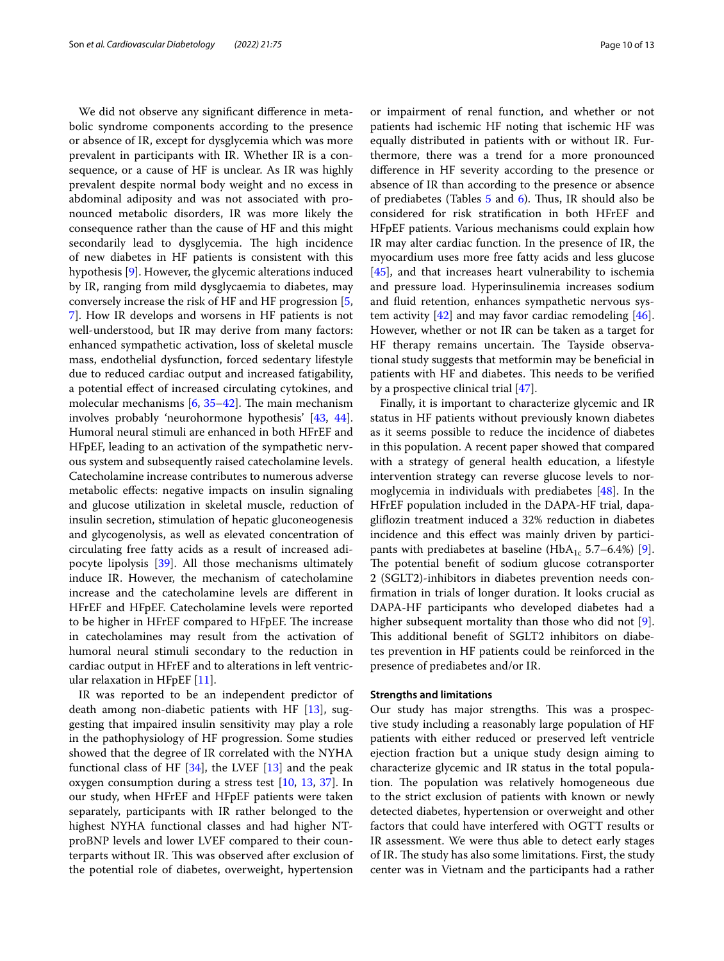We did not observe any signifcant diference in metabolic syndrome components according to the presence or absence of IR, except for dysglycemia which was more prevalent in participants with IR. Whether IR is a consequence, or a cause of HF is unclear. As IR was highly prevalent despite normal body weight and no excess in abdominal adiposity and was not associated with pronounced metabolic disorders, IR was more likely the consequence rather than the cause of HF and this might secondarily lead to dysglycemia. The high incidence of new diabetes in HF patients is consistent with this hypothesis [[9\]](#page-11-6). However, the glycemic alterations induced by IR, ranging from mild dysglycaemia to diabetes, may conversely increase the risk of HF and HF progression [\[5](#page-11-2), [7\]](#page-11-4). How IR develops and worsens in HF patients is not well-understood, but IR may derive from many factors: enhanced sympathetic activation, loss of skeletal muscle mass, endothelial dysfunction, forced sedentary lifestyle due to reduced cardiac output and increased fatigability, a potential efect of increased circulating cytokines, and molecular mechanisms  $[6, 35-42]$  $[6, 35-42]$  $[6, 35-42]$  $[6, 35-42]$  $[6, 35-42]$ . The main mechanism involves probably 'neurohormone hypothesis' [\[43](#page-12-1), [44](#page-12-2)]. Humoral neural stimuli are enhanced in both HFrEF and HFpEF, leading to an activation of the sympathetic nervous system and subsequently raised catecholamine levels. Catecholamine increase contributes to numerous adverse metabolic efects: negative impacts on insulin signaling and glucose utilization in skeletal muscle, reduction of insulin secretion, stimulation of hepatic gluconeogenesis and glycogenolysis, as well as elevated concentration of circulating free fatty acids as a result of increased adipocyte lipolysis [\[39\]](#page-11-33). All those mechanisms ultimately induce IR. However, the mechanism of catecholamine increase and the catecholamine levels are diferent in HFrEF and HFpEF. Catecholamine levels were reported to be higher in HFrEF compared to HFpEF. The increase in catecholamines may result from the activation of humoral neural stimuli secondary to the reduction in cardiac output in HFrEF and to alterations in left ventricular relaxation in HFpEF [[11\]](#page-11-8).

IR was reported to be an independent predictor of death among non-diabetic patients with HF [\[13](#page-11-10)], suggesting that impaired insulin sensitivity may play a role in the pathophysiology of HF progression. Some studies showed that the degree of IR correlated with the NYHA functional class of HF  $[34]$  $[34]$ , the LVEF  $[13]$  $[13]$  and the peak oxygen consumption during a stress test [\[10](#page-11-7), [13,](#page-11-10) [37\]](#page-11-34). In our study, when HFrEF and HFpEF patients were taken separately, participants with IR rather belonged to the highest NYHA functional classes and had higher NTproBNP levels and lower LVEF compared to their counterparts without IR. This was observed after exclusion of the potential role of diabetes, overweight, hypertension or impairment of renal function, and whether or not patients had ischemic HF noting that ischemic HF was equally distributed in patients with or without IR. Furthermore, there was a trend for a more pronounced diference in HF severity according to the presence or absence of IR than according to the presence or absence of prediabetes (Tables  $5$  and  $6$ ). Thus, IR should also be considered for risk stratifcation in both HFrEF and HFpEF patients. Various mechanisms could explain how IR may alter cardiac function. In the presence of IR, the myocardium uses more free fatty acids and less glucose [[45\]](#page-12-3), and that increases heart vulnerability to ischemia and pressure load. Hyperinsulinemia increases sodium and fuid retention, enhances sympathetic nervous system activity  $[42]$  $[42]$  and may favor cardiac remodeling  $[46]$  $[46]$ . However, whether or not IR can be taken as a target for HF therapy remains uncertain. The Tayside observational study suggests that metformin may be benefcial in patients with HF and diabetes. This needs to be verified by a prospective clinical trial [[47\]](#page-12-5).

Finally, it is important to characterize glycemic and IR status in HF patients without previously known diabetes as it seems possible to reduce the incidence of diabetes in this population. A recent paper showed that compared with a strategy of general health education, a lifestyle intervention strategy can reverse glucose levels to normoglycemia in individuals with prediabetes [\[48\]](#page-12-6). In the HFrEF population included in the DAPA-HF trial, dapaglifozin treatment induced a 32% reduction in diabetes incidence and this efect was mainly driven by partici-pants with prediabetes at baseline (HbA<sub>1c</sub> 5.7–6.4%) [\[9](#page-11-6)]. The potential benefit of sodium glucose cotransporter 2 (SGLT2)-inhibitors in diabetes prevention needs confrmation in trials of longer duration. It looks crucial as DAPA-HF participants who developed diabetes had a higher subsequent mortality than those who did not [\[9](#page-11-6)]. This additional benefit of SGLT2 inhibitors on diabetes prevention in HF patients could be reinforced in the presence of prediabetes and/or IR.

## **Strengths and limitations**

Our study has major strengths. This was a prospective study including a reasonably large population of HF patients with either reduced or preserved left ventricle ejection fraction but a unique study design aiming to characterize glycemic and IR status in the total population. The population was relatively homogeneous due to the strict exclusion of patients with known or newly detected diabetes, hypertension or overweight and other factors that could have interfered with OGTT results or IR assessment. We were thus able to detect early stages of IR. The study has also some limitations. First, the study center was in Vietnam and the participants had a rather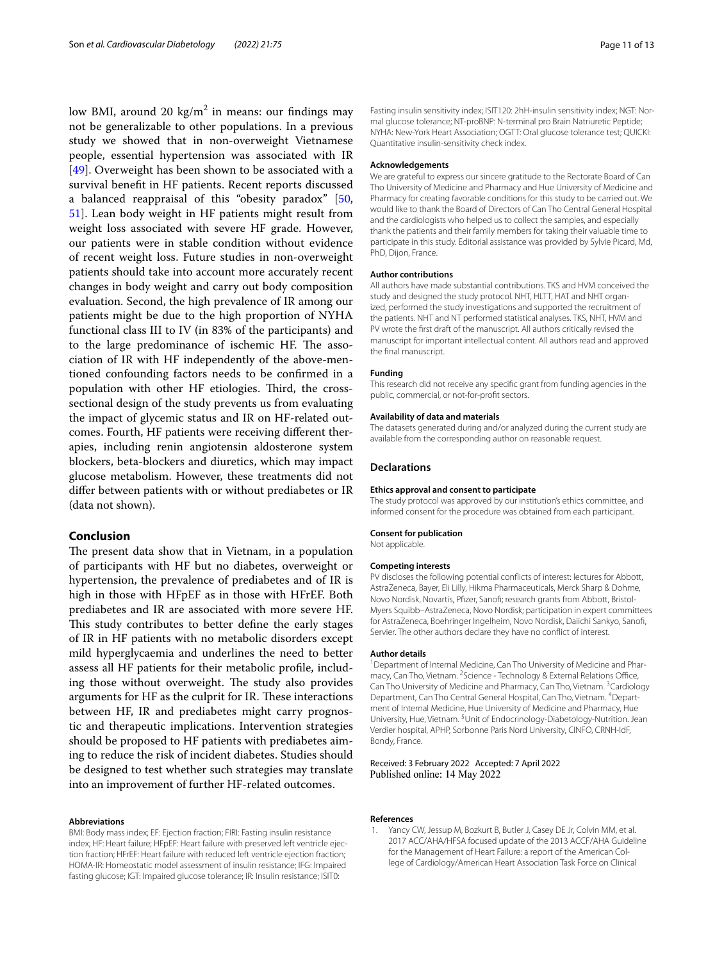low BMI, around 20 kg/m<sup>2</sup> in means: our findings may not be generalizable to other populations. In a previous study we showed that in non-overweight Vietnamese people, essential hypertension was associated with IR [[49\]](#page-12-7). Overweight has been shown to be associated with a survival beneft in HF patients. Recent reports discussed a balanced reappraisal of this "obesity paradox" [\[50](#page-12-8), [51\]](#page-12-9). Lean body weight in HF patients might result from weight loss associated with severe HF grade. However, our patients were in stable condition without evidence of recent weight loss. Future studies in non-overweight patients should take into account more accurately recent changes in body weight and carry out body composition evaluation. Second, the high prevalence of IR among our patients might be due to the high proportion of NYHA functional class III to IV (in 83% of the participants) and to the large predominance of ischemic HF. The association of IR with HF independently of the above-mentioned confounding factors needs to be confrmed in a population with other HF etiologies. Third, the crosssectional design of the study prevents us from evaluating the impact of glycemic status and IR on HF-related outcomes. Fourth, HF patients were receiving diferent therapies, including renin angiotensin aldosterone system blockers, beta-blockers and diuretics, which may impact glucose metabolism. However, these treatments did not difer between patients with or without prediabetes or IR (data not shown).

## **Conclusion**

The present data show that in Vietnam, in a population of participants with HF but no diabetes, overweight or hypertension, the prevalence of prediabetes and of IR is high in those with HFpEF as in those with HFrEF. Both prediabetes and IR are associated with more severe HF. This study contributes to better define the early stages of IR in HF patients with no metabolic disorders except mild hyperglycaemia and underlines the need to better assess all HF patients for their metabolic profle, including those without overweight. The study also provides arguments for HF as the culprit for IR. These interactions between HF, IR and prediabetes might carry prognostic and therapeutic implications. Intervention strategies should be proposed to HF patients with prediabetes aiming to reduce the risk of incident diabetes. Studies should be designed to test whether such strategies may translate into an improvement of further HF-related outcomes.

#### **Abbreviations**

BMI: Body mass index; EF: Ejection fraction; FIRI: Fasting insulin resistance index; HF: Heart failure; HFpEF: Heart failure with preserved left ventricle ejection fraction; HFrEF: Heart failure with reduced left ventricle ejection fraction; HOMA-IR: Homeostatic model assessment of insulin resistance; IFG: Impaired fasting glucose; IGT: Impaired glucose tolerance; IR: Insulin resistance; ISIT0:

Fasting insulin sensitivity index; ISIT120: 2hH-insulin sensitivity index; NGT: Normal glucose tolerance; NT-proBNP: N-terminal pro Brain Natriuretic Peptide; NYHA: New-York Heart Association; OGTT: Oral glucose tolerance test; QUICKI: Quantitative insulin-sensitivity check index.

#### **Acknowledgements**

We are grateful to express our sincere gratitude to the Rectorate Board of Can Tho University of Medicine and Pharmacy and Hue University of Medicine and Pharmacy for creating favorable conditions for this study to be carried out. We would like to thank the Board of Directors of Can Tho Central General Hospital and the cardiologists who helped us to collect the samples, and especially thank the patients and their family members for taking their valuable time to participate in this study. Editorial assistance was provided by Sylvie Picard, Md, PhD, Dijon, France.

#### **Author contributions**

All authors have made substantial contributions. TKS and HVM conceived the study and designed the study protocol. NHT, HLTT, HAT and NHT organized, performed the study investigations and supported the recruitment of the patients. NHT and NT performed statistical analyses. TKS, NHT, HVM and PV wrote the frst draft of the manuscript. All authors critically revised the manuscript for important intellectual content. All authors read and approved the fnal manuscript.

#### **Funding**

This research did not receive any specifc grant from funding agencies in the public, commercial, or not-for-proft sectors.

#### **Availability of data and materials**

The datasets generated during and/or analyzed during the current study are available from the corresponding author on reasonable request.

#### **Declarations**

#### **Ethics approval and consent to participate**

The study protocol was approved by our institution's ethics committee, and informed consent for the procedure was obtained from each participant.

#### **Consent for publication**

Not applicable.

#### **Competing interests**

PV discloses the following potential conficts of interest: lectures for Abbott, AstraZeneca, Bayer, Eli Lilly, Hikma Pharmaceuticals, Merck Sharp & Dohme, Novo Nordisk, Novartis, Pfizer, Sanofi; research grants from Abbott, Bristol-Myers Squibb–AstraZeneca, Novo Nordisk; participation in expert committees for AstraZeneca, Boehringer Ingelheim, Novo Nordisk, Daiichi Sankyo, Sanof, Servier. The other authors declare they have no confict of interest.

#### **Author details**

<sup>1</sup> Department of Internal Medicine, Can Tho University of Medicine and Pharmacy, Can Tho, Vietnam. <sup>2</sup> Science - Technology & External Relations Office, Can Tho University of Medicine and Pharmacy, Can Tho, Vietnam. <sup>3</sup>Cardiology Department, Can Tho Central General Hospital, Can Tho, Vietnam. <sup>4</sup> Department of Internal Medicine, Hue University of Medicine and Pharmacy, Hue University, Hue, Vietnam. <sup>5</sup> Unit of Endocrinology-Diabetology-Nutrition. Jean Verdier hospital, APHP, Sorbonne Paris Nord University, CINFO, CRNH-IdF, Bondy, France.

Received: 3 February 2022 Accepted: 7 April 2022 Published online: 14 May 2022

#### **References**

<span id="page-10-0"></span>Yancy CW, Jessup M, Bozkurt B, Butler J, Casey DE Jr, Colvin MM, et al. 2017 ACC/AHA/HFSA focused update of the 2013 ACCF/AHA Guideline for the Management of Heart Failure: a report of the American College of Cardiology/American Heart Association Task Force on Clinical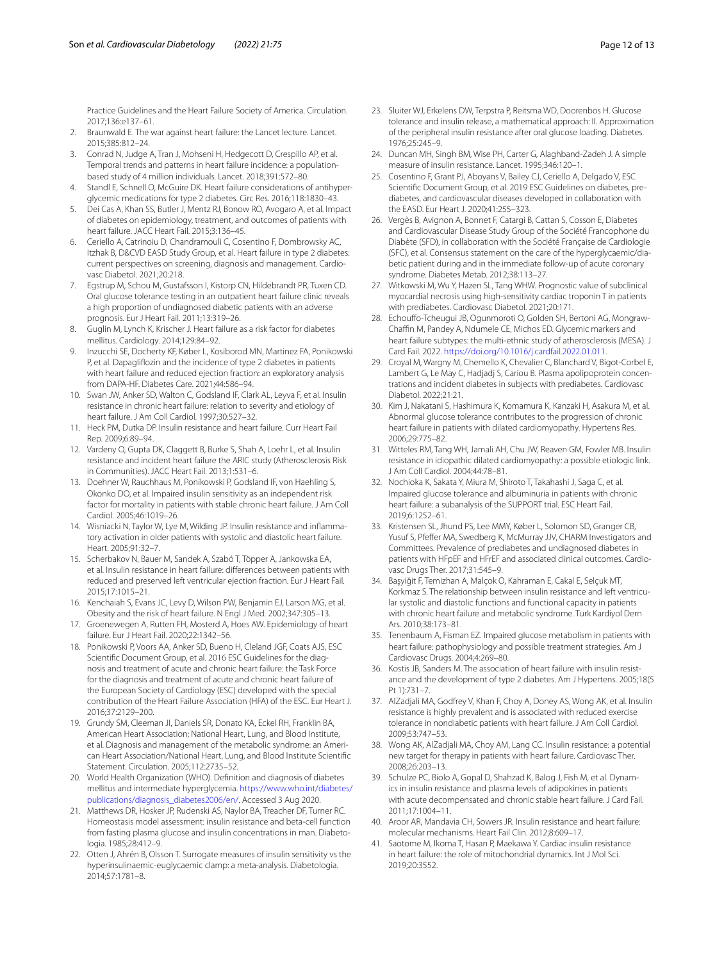Practice Guidelines and the Heart Failure Society of America. Circulation. 2017;136:e137–61.

- 2. Braunwald E. The war against heart failure: the Lancet lecture. Lancet. 2015;385:812–24.
- <span id="page-11-0"></span>3. Conrad N, Judge A, Tran J, Mohseni H, Hedgecott D, Crespillo AP, et al. Temporal trends and patterns in heart failure incidence: a populationbased study of 4 million individuals. Lancet. 2018;391:572–80.
- <span id="page-11-1"></span>4. Standl E, Schnell O, McGuire DK. Heart failure considerations of antihyperglycemic medications for type 2 diabetes. Circ Res. 2016;118:1830–43.
- <span id="page-11-2"></span>5. Dei Cas A, Khan SS, Butler J, Mentz RJ, Bonow RO, Avogaro A, et al. Impact of diabetes on epidemiology, treatment, and outcomes of patients with heart failure. JACC Heart Fail. 2015;3:136–45.
- <span id="page-11-3"></span>6. Ceriello A, Catrinoiu D, Chandramouli C, Cosentino F, Dombrowsky AC, Itzhak B, D&CVD EASD Study Group, et al. Heart failure in type 2 diabetes: current perspectives on screening, diagnosis and management. Cardiovasc Diabetol. 2021;20:218.
- <span id="page-11-4"></span>7. Egstrup M, Schou M, Gustafsson I, Kistorp CN, Hildebrandt PR, Tuxen CD. Oral glucose tolerance testing in an outpatient heart failure clinic reveals a high proportion of undiagnosed diabetic patients with an adverse prognosis. Eur J Heart Fail. 2011;13:319–26.
- <span id="page-11-5"></span>8. Guglin M, Lynch K, Krischer J. Heart failure as a risk factor for diabetes mellitus. Cardiology. 2014;129:84–92.
- <span id="page-11-6"></span>9. Inzucchi SE, Docherty KF, Køber L, Kosiborod MN, Martinez FA, Ponikowski P, et al. Dapaglifozin and the incidence of type 2 diabetes in patients with heart failure and reduced ejection fraction: an exploratory analysis from DAPA-HF. Diabetes Care. 2021;44:586–94.
- <span id="page-11-7"></span>10. Swan JW, Anker SD, Walton C, Godsland IF, Clark AL, Leyva F, et al. Insulin resistance in chronic heart failure: relation to severity and etiology of heart failure. J Am Coll Cardiol. 1997;30:527–32.
- <span id="page-11-8"></span>11. Heck PM, Dutka DP. Insulin resistance and heart failure. Curr Heart Fail Rep. 2009;6:89–94.
- <span id="page-11-9"></span>12. Vardeny O, Gupta DK, Claggett B, Burke S, Shah A, Loehr L, et al. Insulin resistance and incident heart failure the ARIC study (Atherosclerosis Risk in Communities). JACC Heart Fail. 2013;1:531–6.
- <span id="page-11-10"></span>13. Doehner W, Rauchhaus M, Ponikowski P, Godsland IF, von Haehling S, Okonko DO, et al. Impaired insulin sensitivity as an independent risk factor for mortality in patients with stable chronic heart failure. J Am Coll Cardiol. 2005;46:1019–26.
- <span id="page-11-11"></span>14. Wisniacki N, Taylor W, Lye M, Wilding JP. Insulin resistance and infammatory activation in older patients with systolic and diastolic heart failure. Heart. 2005;91:32–7.
- <span id="page-11-12"></span>15. Scherbakov N, Bauer M, Sandek A, Szabó T, Töpper A, Jankowska EA, et al. Insulin resistance in heart failure: diferences between patients with reduced and preserved left ventricular ejection fraction. Eur J Heart Fail. 2015;17:1015–21.
- <span id="page-11-13"></span>16. Kenchaiah S, Evans JC, Levy D, Wilson PW, Benjamin EJ, Larson MG, et al. Obesity and the risk of heart failure. N Engl J Med. 2002;347:305–13.
- <span id="page-11-14"></span>17. Groenewegen A, Rutten FH, Mosterd A, Hoes AW. Epidemiology of heart failure. Eur J Heart Fail. 2020;22:1342–56.
- <span id="page-11-15"></span>18. Ponikowski P, Voors AA, Anker SD, Bueno H, Cleland JGF, Coats AJS, ESC Scientifc Document Group, et al. 2016 ESC Guidelines for the diagnosis and treatment of acute and chronic heart failure: the Task Force for the diagnosis and treatment of acute and chronic heart failure of the European Society of Cardiology (ESC) developed with the special contribution of the Heart Failure Association (HFA) of the ESC. Eur Heart J. 2016;37:2129–200.
- <span id="page-11-16"></span>19. Grundy SM, Cleeman JI, Daniels SR, Donato KA, Eckel RH, Franklin BA, American Heart Association; National Heart, Lung, and Blood Institute, et al. Diagnosis and management of the metabolic syndrome: an American Heart Association/National Heart, Lung, and Blood Institute Scientifc Statement. Circulation. 2005;112:2735–52.
- <span id="page-11-17"></span>20. World Health Organization (WHO). Defnition and diagnosis of diabetes mellitus and intermediate hyperglycemia. [https://www.who.int/diabetes/](https://www.who.int/diabetes/publications/diagnosis_diabetes2006/en/) [publications/diagnosis\\_diabetes2006/en/](https://www.who.int/diabetes/publications/diagnosis_diabetes2006/en/). Accessed 3 Aug 2020.
- <span id="page-11-18"></span>21. Matthews DR, Hosker JP, Rudenski AS, Naylor BA, Treacher DF, Turner RC. Homeostasis model assessment: insulin resistance and beta-cell function from fasting plasma glucose and insulin concentrations in man. Diabetologia. 1985;28:412–9.
- <span id="page-11-19"></span>22. Otten J, Ahrén B, Olsson T. Surrogate measures of insulin sensitivity vs the hyperinsulinaemic-euglycaemic clamp: a meta-analysis. Diabetologia. 2014;57:1781–8.
- <span id="page-11-20"></span>23. Sluiter WJ, Erkelens DW, Terpstra P, Reitsma WD, Doorenbos H. Glucose tolerance and insulin release, a mathematical approach: II. Approximation of the peripheral insulin resistance after oral glucose loading. Diabetes. 1976;25:245–9.
- <span id="page-11-21"></span>24. Duncan MH, Singh BM, Wise PH, Carter G, Alaghband-Zadeh J. A simple measure of insulin resistance. Lancet. 1995;346:120–1.
- <span id="page-11-22"></span>25. Cosentino F, Grant PJ, Aboyans V, Bailey CJ, Ceriello A, Delgado V, ESC Scientifc Document Group, et al. 2019 ESC Guidelines on diabetes, prediabetes, and cardiovascular diseases developed in collaboration with the EASD. Eur Heart J. 2020;41:255–323.
- <span id="page-11-23"></span>26. Vergès B, Avignon A, Bonnet F, Catargi B, Cattan S, Cosson E, Diabetes and Cardiovascular Disease Study Group of the Société Francophone du Diabète (SFD), in collaboration with the Société Française de Cardiologie (SFC), et al. Consensus statement on the care of the hyperglycaemic/diabetic patient during and in the immediate follow-up of acute coronary syndrome. Diabetes Metab. 2012;38:113–27.
- <span id="page-11-24"></span>27. Witkowski M, Wu Y, Hazen SL, Tang WHW. Prognostic value of subclinical myocardial necrosis using high-sensitivity cardiac troponin T in patients with prediabetes. Cardiovasc Diabetol. 2021;20:171.
- <span id="page-11-25"></span>28. Echouffo-Tcheugui JB, Ogunmoroti O, Golden SH, Bertoni AG, Mongraw-Chafn M, Pandey A, Ndumele CE, Michos ED. Glycemic markers and heart failure subtypes: the multi-ethnic study of atherosclerosis (MESA). J Card Fail. 2022.<https://doi.org/10.1016/j.cardfail.2022.01.011>.
- <span id="page-11-26"></span>29. Croyal M, Wargny M, Chemello K, Chevalier C, Blanchard V, Bigot-Corbel E, Lambert G, Le May C, Hadjadj S, Cariou B. Plasma apolipoprotein concentrations and incident diabetes in subjects with prediabetes. Cardiovasc Diabetol. 2022;21:21.
- <span id="page-11-27"></span>30. Kim J, Nakatani S, Hashimura K, Komamura K, Kanzaki H, Asakura M, et al. Abnormal glucose tolerance contributes to the progression of chronic heart failure in patients with dilated cardiomyopathy. Hypertens Res. 2006;29:775–82.
- <span id="page-11-28"></span>31. Witteles RM, Tang WH, Jamali AH, Chu JW, Reaven GM, Fowler MB. Insulin resistance in idiopathic dilated cardiomyopathy: a possible etiologic link. J Am Coll Cardiol. 2004;44:78–81.
- <span id="page-11-29"></span>32. Nochioka K, Sakata Y, Miura M, Shiroto T, Takahashi J, Saga C, et al. Impaired glucose tolerance and albuminuria in patients with chronic heart failure: a subanalysis of the SUPPORT trial. ESC Heart Fail. 2019;6:1252–61.
- <span id="page-11-30"></span>33. Kristensen SL, Jhund PS, Lee MMY, Køber L, Solomon SD, Granger CB, Yusuf S, Pfeffer MA, Swedberg K, McMurray JJV, CHARM Investigators and Committees. Prevalence of prediabetes and undiagnosed diabetes in patients with HFpEF and HFrEF and associated clinical outcomes. Cardiovasc Drugs Ther. 2017;31:545–9.
- <span id="page-11-31"></span>34. Başyiğit F, Temizhan A, Malçok O, Kahraman E, Cakal E, Selçuk MT, Korkmaz S. The relationship between insulin resistance and left ventricular systolic and diastolic functions and functional capacity in patients with chronic heart failure and metabolic syndrome. Turk Kardiyol Dern Ars. 2010;38:173–81.
- <span id="page-11-32"></span>35. Tenenbaum A, Fisman EZ. Impaired glucose metabolism in patients with heart failure: pathophysiology and possible treatment strategies. Am J Cardiovasc Drugs. 2004;4:269–80.
- 36. Kostis JB, Sanders M. The association of heart failure with insulin resistance and the development of type 2 diabetes. Am J Hypertens. 2005;18(5 Pt 1):731–7.
- <span id="page-11-34"></span>37. AlZadjali MA, Godfrey V, Khan F, Choy A, Doney AS, Wong AK, et al. Insulin resistance is highly prevalent and is associated with reduced exercise tolerance in nondiabetic patients with heart failure. J Am Coll Cardiol. 2009;53:747–53.
- 38. Wong AK, AlZadjali MA, Choy AM, Lang CC. Insulin resistance: a potential new target for therapy in patients with heart failure. Cardiovasc Ther. 2008;26:203–13.
- <span id="page-11-33"></span>39. Schulze PC, Biolo A, Gopal D, Shahzad K, Balog J, Fish M, et al. Dynamics in insulin resistance and plasma levels of adipokines in patients with acute decompensated and chronic stable heart failure. J Card Fail. 2011;17:1004–11.
- 40. Aroor AR, Mandavia CH, Sowers JR. Insulin resistance and heart failure: molecular mechanisms. Heart Fail Clin. 2012;8:609–17.
- 41. Saotome M, Ikoma T, Hasan P, Maekawa Y. Cardiac insulin resistance in heart failure: the role of mitochondrial dynamics. Int J Mol Sci. 2019;20:3552.